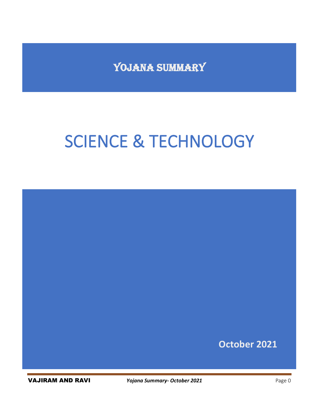YOJANA SUMMARY

# SCIENCE & TECHNOLOGY



VAJIRAM AND RAVI *Yojana Summary- October 2021* Page 0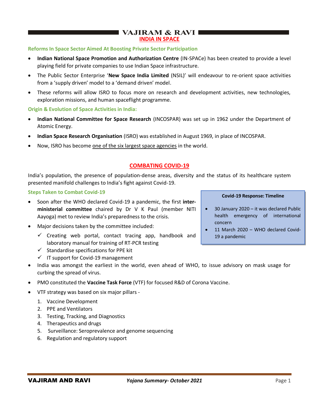## I VAJIRAM & RAVI  $\blacksquare$ **INDIA IN SPACE**

#### **Reforms In Space Sector Aimed At Boosting Private Sector Participation**

- **Indian National Space Promotion and Authorization Centre** (IN-SPACe) has been created to provide a level playing field for private companies to use Indian Space infrastructure.
- The Public Sector Enterprise '**New Space India Limited** (NSIL)' will endeavour to re-orient space activities from a 'supply driven' model to a 'demand driven' model.
- These reforms will allow ISRO to focus more on research and development activities, new technologies, exploration missions, and human spaceflight programme.

#### **Origin & Evolution of Space Activities in India:**

- **Indian National Committee for Space Research** (INCOSPAR) was set up in 1962 under the Department of Atomic Energy.
- **Indian Space Research Organisation** (ISRO) was established in August 1969, in place of INCOSPAR.
- Now, ISRO has become one of the six largest space agencies in the world.

## **COMBATING COVID-19**

India's population, the presence of population-dense areas, diversity and the status of its healthcare system presented manifold challenges to India's fight against Covid-19.

#### **Steps Taken to Combat Covid-19**

- Soon after the WHO declared Covid-19 a pandemic, the first **interministerial committee** chaired by Dr V K Paul (member NITI Aayoga) met to review India's preparedness to the crisis.
- Major decisions taken by the committee included:
	- $\checkmark$  Creating web portal, contact tracing app, handbook and laboratory manual for training of RT-PCR testing
	- $\checkmark$  Standardise specifications for PPE kit
	- ✓ IT support for Covid-19 management

## • India was amongst the earliest in the world, even ahead of WHO, to issue advisory on mask usage for curbing the spread of virus.

- PMO constituted the **Vaccine Task Force** (VTF) for focused R&D of Corona Vaccine.
- VTF strategy was based on six major pillars
	- 1. Vaccine Development
	- 2. PPE and Ventilators
	- 3. Testing, Tracking, and Diagnostics
	- 4. Therapeutics and drugs
	- 5. Surveillance: Seroprevalence and genome sequencing
	- 6. Regulation and regulatory support

#### **Covid-19 Response: Timeline**

- 30 January 2020 it was declared Public health emergency of international concern
- 11 March 2020 WHO declared Covid-19 a pandemic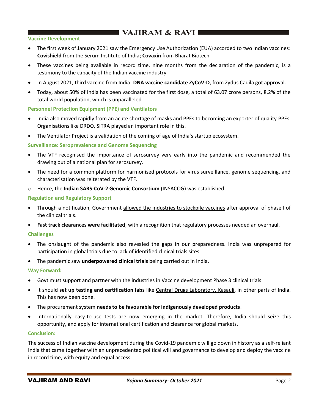# **THE VAJIRAM & RAVI III**

#### **Vaccine Development**

- The first week of January 2021 saw the Emergency Use Authorization (EUA) accorded to two Indian vaccines: **Covishield** from the Serum Institute of India; **Covaxin** from Bharat Biotech
- These vaccines being available in record time, nine months from the declaration of the pandemic, is a testimony to the capacity of the Indian vaccine industry
- In August 2021, third vaccine from India- **DNA vaccine candidate ZyCoV-D**, from Zydus Cadila got approval.
- Today, about 50% of India has been vaccinated for the first dose, a total of 63.07 crore persons, 8.2% of the total world population, which is unparalleled.

## **Personnel Protection Equipment (PPE) and Ventilators**

- India also moved rapidly from an acute shortage of masks and PPEs to becoming an exporter of quality PPEs. Organisations like DRDO, SITRA played an important role in this.
- The Ventilator Project is a validation of the coming of age of India's startup ecosystem.

## **Surveillance: Seroprevalence and Genome Sequencing**

- The VTF recognised the importance of serosurvey very early into the pandemic and recommended the drawing out of a national plan for serosurvey.
- The need for a common platform for harmonised protocols for virus surveillance, genome sequencing, and characterisation was reiterated by the VTF.
- o Hence, the **Indian SARS-CoV-2 Genomic Consortium** (INSACOG) was established.

## **Regulation and Regulatory Support**

- Through a notification, Government allowed the industries to stockpile vaccines after approval of phase I of the clinical trials.
- **Fast track clearances were facilitated**, with a recognition that regulatory processes needed an overhaul.

#### **Challenges**

- The onslaught of the pandemic also revealed the gaps in our preparedness. India was unprepared for participation in global trials due to lack of identified clinical trials sites.
- The pandemic saw **underpowered clinical trials** being carried out in India.

#### **Way Forward:**

- Govt must support and partner with the industries in Vaccine development Phase 3 clinical trials.
- It should **set up testing and certification labs** like Central Drugs Laboratory, Kasauli, in other parts of India. This has now been done.
- The procurement system **needs to be favourable for indigenously developed products**.
- Internationally easy-to-use tests are now emerging in the market. Therefore, India should seize this opportunity, and apply for international certification and clearance for global markets.

#### **Conclusion:**

The success of Indian vaccine development during the Covid-19 pandemic will go down in history as a self-reliant India that came together with an unprecedented political will and governance to develop and deploy the vaccine in record time, with equity and equal access.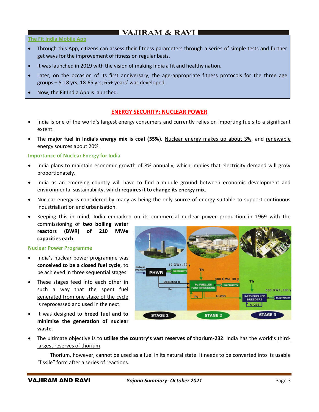# $\blacksquare$  VAJIRAM & RAVI  $\blacksquare$

#### **The Fit India Mobile App**

- Through this App, citizens can assess their fitness parameters through a series of simple tests and further get ways for the improvement of fitness on regular basis.
- It was launched in 2019 with the vision of making India a fit and healthy nation.
- Later, on the occasion of its first anniversary, the age-appropriate fitness protocols for the three age groups – 5-18 yrs; 18-65 yrs; 65+ years' was developed.
- Now, the Fit India App is launched.

## **ENERGY SECURITY: NUCLEAR POWER**

- India is one of the world's largest energy consumers and currently relies on importing fuels to a significant extent.
- The **major fuel in India's energy mix is coal (55%).** Nuclear energy makes up about 3%, and renewable energy sources about 20%.

#### **Importance of Nuclear Energy for India**

- India plans to maintain economic growth of 8% annually, which implies that electricity demand will grow proportionately.
- India as an emerging country will have to find a middle ground between economic development and environmental sustainability, which **requires it to change its energy mix**.
- Nuclear energy is considered by many as being the only source of energy suitable to support continuous industrialisation and urbanisation.
- Keeping this in mind, India embarked on its commercial nuclear power production in 1969 with the commissioning of **two boiling water**
- **reactors (BWR) of 210 MWe capacities each**.

#### **Nuclear Power Programme**

- India's nuclear power programme was **conceived to be a closed fuel cycle**, to be achieved in three sequential stages.
- These stages feed into each other in such a way that the spent fuel generated from one stage of the cycle is reprocessed and used in the next.
- It was designed to **breed fuel and to minimise the generation of nuclear waste**.



• The ultimate objective is to **utilise the country's vast reserves of thorium-232**. India has the world's thirdlargest reserves of thorium.

 Thorium, however, cannot be used as a fuel in its natural state. It needs to be converted into its usable "fissile" form after a series of reactions.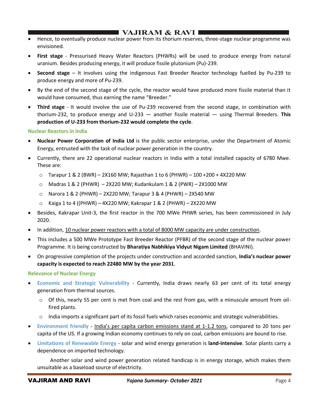# I VAJIRAM & RAVI I

- Hence, to eventually produce nuclear power from its thorium reserves, three-stage nuclear programme was envisioned.
- **First stage** Pressurised Heavy Water Reactors (PHWRs) will be used to produce energy from natural uranium. Besides producing energy, it will produce fissile plutonium (Pu)-239.
- **Second stage** It involves using the indigenous Fast Breeder Reactor technology fuelled by Pu-239 to produce energy and more of Pu-239.
- By the end of the second stage of the cycle, the reactor would have produced more fissile material than it would have consumed, thus earning the name "Breeder."
- **Third stage** It would involve the use of Pu-239 recovered from the second stage, in combination with thorium-232, to produce energy and U-233 — another fissile material — using Thermal Breeders. **This production of U-233 from thorium-232 would complete the cycle**.

#### **Nuclear Reactors in India**

- **Nuclear Power Corporation of India Ltd** is the public sector enterprise, under the Department of Atomic Energy, entrusted with the task of nuclear power generation in the country.
- Currently, there are 22 operational nuclear reactors in India with a total installed capacity of 6780 Mwe. These are:
	- $\circ$  Tarapur 1 & 2 (BWR) 2X160 MW; Rajasthan 1 to 6 (PHWR) 100 + 200 + 4X220 MW
	- $\circ$  Madras 1 & 2 (PHWR) 2X220 MW; Kudankulam 1 & 2 (PWR) 2X1000 MW
	- $\circ$  Narora 1 & 2 (PHWR) 2X220 MW; Tarapur 3 & 4 (PHWR) 2X540 MW
	- $\circ$  Kaiga 1 to 4 ((PHWR) 4X220 MW; Kakrapar 1 & 2 (PHWR) 2X220 MW
- Besides, Kakrapar Unit-3, the first reactor in the 700 MWe PHWR series, has been commissioned in July 2020.
- In addition, 10 nuclear power reactors with a total of 8000 MW capacity are under construction.
- This includes a 500 MWe Prototype Fast Breeder Reactor (PFBR) of the second stage of the nuclear power Programme. It is being constructed by **Bharatiya Nabhikiya Vidyut Nigam Limited** (BHAVINI).
- On progressive completion of the projects under construction and accorded sanction, **India's nuclear power capacity is expected to reach 22480 MW by the year 2031**.

#### **Relevance of Nuclear Energy**

- **Economic and Strategic Vulnerability** Currently, India draws nearly 63 per cent of its total energy generation from thermal sources.
	- $\circ$  Of this, nearly 55 per cent is met from coal and the rest from gas, with a minuscule amount from oilfired plants.
	- $\circ$  India imports a significant part of its fossil fuels which raises economic and strategic vulnerabilities.
- **Environment friendly** India's per capita carbon emissions stand at 1-1.2 tons, compared to 20 tons per capita of the US. If a growing Indian economy continues to rely on coal, carbon emissions are bound to rise.
- **Limitations of Renewable Energy** solar and wind energy generation is **land-intensive**. Solar plants carry a dependence on imported technology.

 Another solar and wind power generation related handicap is in energy storage, which makes them unsuitable as a baseload source of electricity.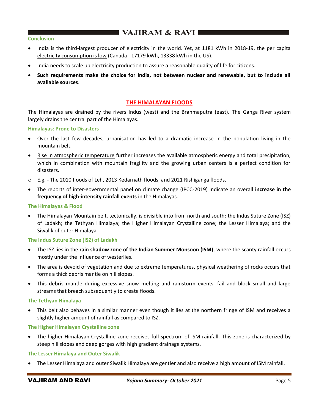# VAJIRAM & RAVI

#### **Conclusion**

- India is the third-largest producer of electricity in the world. Yet, at 1181 kWh in 2018-19, the per capita electricity consumption is low (Canada - 17179 kWh, 13338 kWh in the US).
- India needs to scale up electricity production to assure a reasonable quality of life for citizens.
- **Such requirements make the choice for India, not between nuclear and renewable, but to include all available sources**.

#### **THE HIMALAYAN FLOODS**

The Himalayas are drained by the rivers Indus (west) and the Brahmaputra (east). The Ganga River system largely drains the central part of the Himalayas.

#### **Himalayas: Prone to Disasters**

- Over the last few decades, urbanisation has led to a dramatic increase in the population living in the mountain belt.
- Rise in atmospheric temperature further increases the available atmospheric energy and total precipitation, which in combination with mountain fragility and the growing urban centers is a perfect condition for disasters.
- o E.g. The 2010 floods of Leh, 2013 Kedarnath floods, and 2021 Rishiganga floods.
- The reports of inter-governmental panel on climate change (IPCC-2019) indicate an overall **increase in the frequency of high-intensity rainfall events** in the Himalayas.

#### **The Himalayas & Flood**

• The Himalayan Mountain belt, tectonically, is divisible into from north and south: the Indus Suture Zone (ISZ) of Ladakh; the Tethyan Himalaya; the Higher Himalayan Crystalline zone; the Lesser Himalaya; and the Siwalik of outer Himalaya.

#### **The Indus Suture Zone (ISZ) of Ladakh**

- The ISZ lies in the **rain shadow zone of the Indian Summer Monsoon (ISM)**, where the scanty rainfall occurs mostly under the influence of westerlies.
- The area is devoid of vegetation and due to extreme temperatures, physical weathering of rocks occurs that forms a thick debris mantle on hill slopes.
- This debris mantle during excessive snow melting and rainstorm events, fail and block small and large streams that breach subsequently to create floods.

#### **The Tethyan Himalaya**

• This belt also behaves in a similar manner even though it lies at the northern fringe of ISM and receives a slightly higher amount of rainfall as compared to ISZ.

#### **The Higher Himalayan Crystalline zone**

• The higher Himalayan Crystalline zone receives full spectrum of ISM rainfall. This zone is characterized by steep hill slopes and deep gorges with high gradient drainage systems.

#### **The Lesser Himalaya and Outer Siwalik**

• The Lesser Himalaya and outer Siwalik Himalaya are gentler and also receive a high amount of ISM rainfall.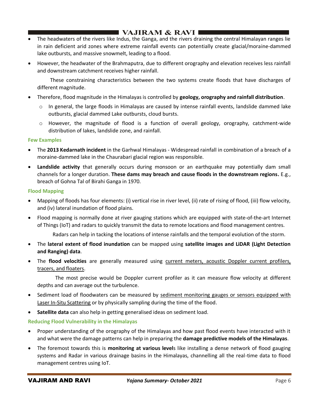# $\blacksquare$  VAJIRAM & RAVI  $\blacksquare$

- The headwaters of the rivers like Indus, the Ganga, and the rivers draining the central Himalayan ranges lie in rain deficient arid zones where extreme rainfall events can potentially create glacial/moraine-dammed lake outbursts, and massive snowmelt, leading to a flood.
- However, the headwater of the Brahmaputra, due to different orography and elevation receives less rainfall and downstream catchment receives higher rainfall.

 These constraining characteristics between the two systems create floods that have discharges of different magnitude.

- Therefore, flood magnitude in the Himalayas is controlled by **geology, orography and rainfall distribution**.
	- $\circ$  In general, the large floods in Himalayas are caused by intense rainfall events, landslide dammed lake outbursts, glacial dammed Lake outbursts, cloud bursts.
	- $\circ$  However, the magnitude of flood is a function of overall geology, orography, catchment-wide distribution of lakes, landslide zone, and rainfall.

#### **Few Examples**

- The **2013 Kedarnath incident** in the Garhwal Himalayas Widespread rainfall in combination of a breach of a moraine-dammed lake in the Chaurabari glacial region was responsible.
- **Landslide activity** that generally occurs during monsoon or an earthquake may potentially dam small channels for a longer duration. **These dams may breach and cause floods in the downstream regions.** E.g., breach of Gohna Tal of Birahi Ganga in 1970.

## **Flood Mapping**

- Mapping of floods has four elements: (i) vertical rise in river level, (ii) rate of rising of flood, (iii) flow velocity, and (iv) lateral inundation of flood plains.
- Flood mapping is normally done at river gauging stations which are equipped with state-of-the-art Internet of Things (IoT) and radars to quickly transmit the data to remote locations and flood management centres.

Radars can help in tacking the locations of intense rainfalls and the temporal evolution of the storm.

- The **lateral extent of flood inundation** can be mapped using **satellite images and LiDAR (Light Detection and Ranging) data**.
- The **flood velocities** are generally measured using current meters, acoustic Doppler current profilers, tracers, and floaters.

 The most precise would be Doppler current profiler as it can measure flow velocity at different depths and can average out the turbulence.

- Sediment load of floodwaters can be measured by sediment monitoring gauges or sensors equipped with Laser In-Situ Scattering or by physically sampling during the time of the flood.
- **Satellite data** can also help in getting generalised ideas on sediment load.

## **Reducing Flood Vulnerability in the Himalayas**

- Proper understanding of the orography of the Himalayas and how past flood events have interacted with it and what were the damage patterns can help in preparing the **damage predictive models of the Himalayas**.
- The foremost towards this is **monitoring at various level**s like installing a dense network of flood gauging systems and Radar in various drainage basins in the Himalayas, channelling all the real-time data to flood management centres using IoT.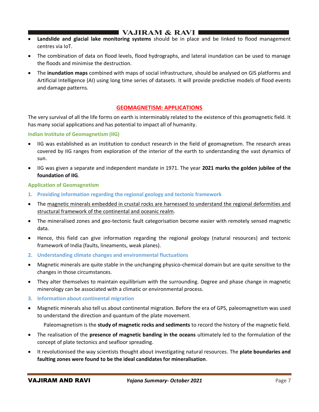# I VAJIRAM & RAVI I

- **Landslide and glacial lake monitoring systems** should be in place and be linked to flood management centres via IoT.
- The combination of data on flood levels, flood hydrographs, and lateral inundation can be used to manage the floods and minimise the destruction.
- The **inundation maps** combined with maps of social infrastructure, should be analysed on GIS platforms and Artificial Intelligence (AI) using long time series of datasets. It will provide predictive models of flood events and damage patterns.

## **GEOMAGNETISM: APPLICATIONS**

The very survival of all the life forms on earth is interminably related to the existence of this geomagnetic field. It has many social applications and has potential to impact all of humanity.

## **Indian Institute of Geomagnetism (IIG)**

- IIG was established as an institution to conduct research in the field of geomagnetism. The research areas covered by IIG ranges from exploration of the interior of the earth to understanding the vast dynamics of sun.
- IIG was given a separate and independent mandate in 1971. The year **2021 marks the golden jubilee of the foundation of IIG**.

## **Application of Geomagnetism**

- **1. Providing information regarding the regional geology and tectonic framework**
- The magnetic minerals embedded in crustal rocks are harnessed to understand the regional deformities and structural framework of the continental and oceanic realm.
- The mineralised zones and geo-tectonic fault categorisation become easier with remotely sensed magnetic data.
- Hence, this field can give information regarding the regional geology (natural resources) and tectonic framework of India (faults, lineaments, weak planes).
- **2. Understanding climate changes and environmental fluctuations**
- Magnetic minerals are quite stable in the unchanging physico-chemical domain but are quite sensitive to the changes in those circumstances.
- They alter themselves to maintain equilibrium with the surrounding. Degree and phase change in magnetic minerology can be associated with a climatic or environmental process.
- **3. Information about continental migration**
- Magnetic minerals also tell us about continental migration. Before the era of GPS, paleomagnetism was used to understand the direction and quantum of the plate movement.
	- Paleomagnetism is the **study of magnetic rocks and sediments** to record the history of the magnetic field.
- The realisation of the **presence of magnetic banding in the oceans** ultimately led to the formulation of the concept of plate tectonics and seafloor spreading.
- It revolutionised the way scientists thought about investigating natural resources. The **plate boundaries and faulting zones were found to be the ideal candidates for mineralisation**.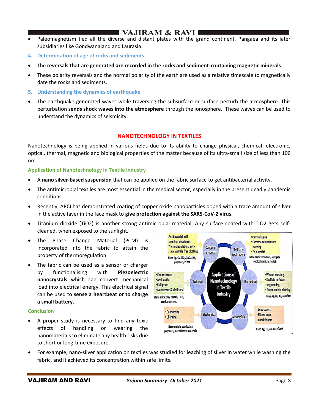# ■ VAJIRAM & RAVI ■

- Paleomagnetism tied all the diverse and distant plates with the grand continent, Pangaea and its later subsidiaries like Gondwanaland and Laurasia.
- **4. Determination of age of rocks and sediments**
- The **reversals that are generated are recorded in the rocks and sediment-containing magnetic minerals**.
- These polarity reversals and the normal polarity of the earth are used as a relative timescale to magnetically date the rocks and sediments.
- **5. Understanding the dynamics of earthquake**
- The earthquake generated waves while traversing the subsurface or surface perturb the atmosphere. This perturbation **sends shock waves into the atmosphere** through the ionosphere. These waves can be used to understand the dynamics of seismicity.

## **NANOTECHNOLOGY IN TEXTILES**

Nanotechnology is being applied in various fields due to its ability to change physical, chemical, electronic, optical, thermal, magnetic and biological properties of the matter because of its ultra-small size of less than 100 nm.

#### **Application of Nanotechnology in Textile industry**

- A **nano silver-based suspension** that can be applied on the fabric surface to get antibacterial activity.
- The antimicrobial textiles are most essential in the medical sector, especially in the present deadly pandemic conditions.
- Recently, ARCI has demonstrated coating of copper oxide nanoparticles doped with a trace amount of silver in the active layer in the face mask to **give protection against the SARS-CoV-2 virus**.
- Titanium dioxide (TiO2) is another strong antimicrobial material. Any surface coated with TiO2 gets selfcleaned, when exposed to the sunlight.
- The Phase Change Material (PCM) is incorporated into the fabric to attain the property of thermoregulation.
- The fabric can be used as a sensor or charger by functionalising with **Piezoelectric nanocrystals** which can convert mechanical load into electrical energy. This electrical signal can be used to **sense a heartbeat or to charge a small battery**.

#### **Conclusion**

• A proper study is necessary to find any toxic effects of handling or wearing the nanomaterials to eliminate any health risks due to short or long-time exposure.



• For example, nano-silver application on textiles was studied for leaching of silver in water while washing the fabric, and it achieved its concentration within safe limits.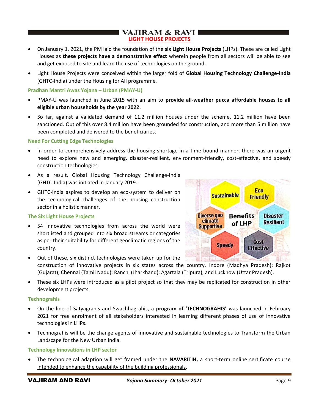## **VAJIRAM & RAVI I LIGHT HOUSE PROJECTS**

- On January 1, 2021, the PM laid the foundation of the **six Light House Projects** (LHPs). These are called Light Houses as **these projects have a demonstrative effect** wherein people from all sectors will be able to see and get exposed to site and learn the use of technologies on the ground.
- Light House Projects were conceived within the larger fold of **Global Housing Technology Challenge-India** (GHTC-India) under the Housing for All programme.

#### **Pradhan Mantri Awas Yojana – Urban (PMAY-U)**

- PMAY-U was launched in June 2015 with an aim to **provide all-weather pucca affordable houses to all eligible urban households by the year 2022**.
- So far, against a validated demand of 11.2 million houses under the scheme, 11.2 million have been sanctioned. Out of this over 8.4 million have been grounded for construction, and more than 5 million have been completed and delivered to the beneficiaries.

#### **Need For Cutting Edge Technologies**

- In order to comprehensively address the housing shortage in a time-bound manner, there was an urgent need to explore new and emerging, disaster-resilient, environment-friendly, cost-effective, and speedy construction technologies.
- As a result, Global Housing Technology Challenge-India (GHTC-India) was initiated in January 2019.
- GHTC-India aspires to develop an eco-system to deliver on the technological challenges of the housing construction sector in a holistic manner.

## **The Six Light House Projects**

54 innovative technologies from across the world were shortlisted and grouped into six broad streams or categories as per their suitability for different geoclimatic regions of the country.



- Out of these, six distinct technologies were taken up for the construction of innovative projects in six states across the country. Indore (Madhya Pradesh); Rajkot (Gujarat); Chennai (Tamil Nadu); Ranchi (Jharkhand); Agartala (Tripura), and Lucknow (Uttar Pradesh).
- These six LHPs were introduced as a pilot project so that they may be replicated for construction in other development projects.

#### **Technograhis**

- On the line of Satyagrahis and Swachhagrahis, a **program of 'TECHNOGRAHIS'** was launched in February 2021 for free enrolment of all stakeholders interested in learning different phases of use of innovative technologies in LHPs.
- Technograhis will be the change agents of innovative and sustainable technologies to Transform the Urban Landscape for the New Urban India.

#### **Technology Innovations in LHP sector**

The technological adaption will get framed under the **NAVARITIH**, a short-term online certificate course intended to enhance the capability of the building professionals.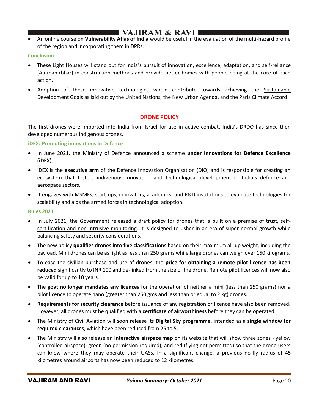# I VAJIRAM & RAVI ∎

• An online course on **Vulnerability Atlas of India** would be useful in the evaluation of the multi-hazard profile of the region and incorporating them in DPRs.

## **Conclusion**

- These Light Houses will stand out for India's pursuit of innovation, excellence, adaptation, and self-reliance (Aatmanirbhar) in construction methods and provide better homes with people being at the core of each action.
- Adoption of these innovative technologies would contribute towards achieving the Sustainable Development Goals as laid out by the United Nations, the New Urban Agenda, and the Paris Climate Accord.

## **DRONE POLICY**

The first drones were imported into India from Israel for use in active combat. India's DRDO has since then developed numerous indigenous drones.

#### **iDEX: Promoting innovations in Defence**

- In June 2021, the Ministry of Defence announced a scheme **under Innovations for Defence Excellence (iDEX).**
- iDEX is the **executive arm** of the Defence Innovation Organisation (DIO) and is responsible for creating an ecosystem that fosters indigenous innovation and technological development in India's defence and aerospace sectors.
- It engages with MSMEs, start-ups, innovators, academics, and R&D institutions to evaluate technologies for scalability and aids the armed forces in technological adoption.

#### **Rules 2021**

- In July 2021, the Government released a draft policy for drones that is built on a premise of trust, selfcertification and non-intrusive monitoring. It is designed to usher in an era of super-normal growth while balancing safety and security considerations.
- The new policy **qualifies drones into five classifications** based on their maximum all-up weight, including the payload. Mini drones can be as light as less than 250 grams while large drones can weigh over 150 kilograms.
- To ease the civilian purchase and use of drones, the **price for obtaining a remote pilot licence has been reduced** significantly to INR 100 and de-linked from the size of the drone. Remote pilot licences will now also be valid for up to 10 years.
- The **govt no longer mandates any licences** for the operation of neither a mini (less than 250 grams) nor a pilot licence to operate nano (greater than 250 gms and less than or equal to 2 kg) drones.
- **Requirements for security clearance** before issuance of any registration or licence have also been removed. However, all drones must be qualified with a **certificate of airworthiness** before they can be operated.
- The Ministry of Civil Aviation will soon release its **Digital Sky programme**, intended as a **single window for required clearances**, which have been reduced from 25 to 5.
- The Ministry will also release an **interactive airspace map** on its website that will show three zones yellow (controlled airspace), green (no permission required), and red (flying not permitted) so that the drone users can know where they may operate their UASs. In a significant change, a previous no-fly radius of 45 kilometres around airports has now been reduced to 12 kilometres.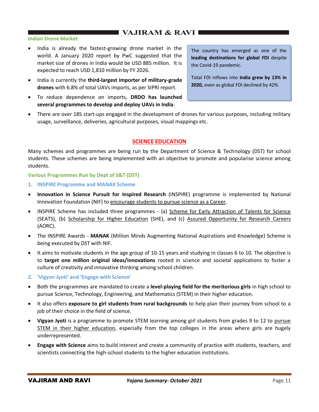# $\blacksquare$  VAJIRAM & RAVI $\blacksquare$

#### **Indian Drone Market**

- India is already the fastest-growing drone market in the world. A January 2020 report by PwC suggested that the market size of drones in India would be USD 885 million. It is expected to reach USD 1,810 million by FY 2026.
- India is currently the **third-largest importer of military-grade drones** with 6.8% of total UAVs imports, as per SIPRI report.
- To reduce dependence on imports, **DRDO has launched several programmes to develop and deploy UAVs in India**.

The country has emerged as one of the **leading destinations for global FDI** despite the Covid-19 pandemic.

Total FDI inflows into **India grew by 13% in 2020,** even as global FDI declined by 42%.

• There are over 185 start-ups engaged in the development of drones for various purposes, including military usage, surveillance, deliveries, agricultural purposes, visual mappings etc.

## **SCIENCE EDUCATION**

Many schemes and programmes are being run by the Department of Science & Technology (DST) for school students. These schemes are being implemented with an objective to promote and popularise science among students.

#### **Various Programmes Run by Dept of S&T (DST)**

- **1. INSPIRE Programme and MANAK Scheme**
- **Innovation in Science Pursuit for Inspired Research** (INSPIRE) programme is implemented by National Innovation Foundation (NIF) to encourage students to pursue science as a Career.
- INSPIRE Scheme has included three programmes (a) Scheme for Early Attraction of Talents for Science (SEATS), (b) Scholarship for Higher Education (SHE), and (c) Assured Opportunity for Research Careers (AORC).
- The INSPIRE Awards **MANAK** (Million Minds Augmenting National Aspirations and Knowledge) Scheme is being executed by DST with NIF.
- It aims to motivate students in the age group of 10-15 years and studying in classes 6 to 10. The objective is to **target one million original ideas/innovations** rooted in science and societal applications to foster a culture of creativity and innovative thinking among school children.
- **2. 'Vigyan Jyoti' and 'Engage with Science'**
- Both the programmes are mandated to create a **level-playing field for the meritorious girls** in high school to pursue Science, Technology, Engineering, and Mathematics (STEM) in their higher education.
- It also offers **exposure to girl students from rural backgrounds** to help plan their journey from school to a job of their choice in the field of science.
- **Vigyan Jyoti** is a programme to promote STEM learning among girl students from grades 9 to 12 to pursue STEM in their higher education, especially from the top colleges in the areas where girls are hugely underrepresented.
- **Engage with Science** aims to build interest and create a community of practice with students, teachers, and scientists connecting the high-school students to the higher education institutions.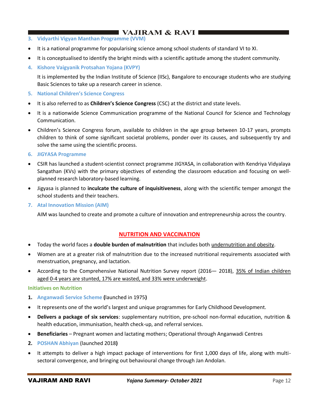# $\blacksquare$  VAJIRAM & RAVI $\blacksquare$

- **3. Vidyarthi Vigyan Manthan Programme (VVM)**
- It is a national programme for popularising science among school students of standard VI to XI.
- It is conceptualised to identify the bright minds with a scientific aptitude among the student community.
- **4. Kishore Vaigyanik Protsahan Yojana (KVPY)**

It is implemented by the Indian Institute of Science (IISc), Bangalore to encourage students who are studying Basic Sciences to take up a research career in science.

- **5. National Children's Science Congress**
- It is also referred to as **Children's Science Congress** (CSC) at the district and state levels.
- It is a nationwide Science Communication programme of the National Council for Science and Technology Communication.
- Children's Science Congress forum, available to children in the age group between 10-17 years, prompts children to think of some significant societal problems, ponder over its causes, and subsequently try and solve the same using the scientific process.
- **6. JIGYASA Programme**
- CSIR has launched a student-scientist connect programme JIGYASA, in collaboration with Kendriya Vidyalaya Sangathan (KVs) with the primary objectives of extending the classroom education and focusing on wellplanned research laboratory-based learning.
- Jigyasa is planned to **inculcate the culture of inquisitiveness**, along with the scientific temper amongst the school students and their teachers.
- **7. Atal Innovation Mission (AIM)**

AIM was launched to create and promote a culture of innovation and entrepreneurship across the country.

## **NUTRITION AND VACCINATION**

- Today the world faces a **double burden of malnutrition** that includes both undernutrition and obesity.
- Women are at a greater risk of malnutrition due to the increased nutritional requirements associated with menstruation, pregnancy, and lactation.
- According to the Comprehensive National Nutrition Survey report (2016 2018), 35% of Indian children aged 0-4 years are stunted, 17% are wasted, and 33% were underweight.

#### **Initiatives on Nutrition**

- **1. Anganwadi Service Scheme (**launched in 1975**)**
- It represents one of the world's largest and unique programmes for Early Childhood Development.
- **Delivers a package of six services**: supplementary nutrition, pre-school non-formal education, nutrition & health education, immunisation, health check-up, and referral services.
- **Beneficiaries** Pregnant women and lactating mothers; Operational through Anganwadi Centres
- **2. POSHAN Abhiyan** (launched 2018**)**
- It attempts to deliver a high impact package of interventions for first 1,000 days of life, along with multisectoral convergence, and bringing out behavioural change through Jan Andolan.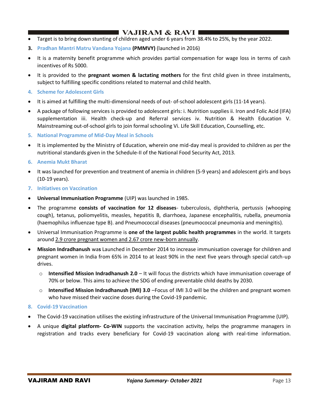# $\blacksquare$  VAJIRAM & RAVI  $\blacksquare$

- Target is to bring down stunting of children aged under 6 years from 38.4% to 25%, by the year 2022.
- **3. Pradhan Mantri Matru Vandana Yojana (PMMVY)** (launched in 2016)
- It is a maternity benefit programme which provides partial compensation for wage loss in terms of cash incentives of Rs 5000.
- It is provided to the **pregnant women & lactating mothers** for the first child given in three instalments, subject to fulfilling specific conditions related to maternal and child health.
- **4. Scheme for Adolescent Girls**
- It is aimed at fulfilling the multi-dimensional needs of out- of-school adolescent girls (11-14 years).
- A package of following services is provided to adolescent girls: i. Nutrition supplies ii. Iron and Folic Acid (IFA) supplementation iii. Health check-up and Referral services iv. Nutrition & Health Education V. Mainstreaming out-of-school girls to join formal schooling Vi. Life Skill Education, Counselling, etc.
- **5. National Programme of Mid-Day Meal in Schools**
- It is implemented by the Ministry of Education, wherein one mid-day meal is provided to children as per the nutritional standards given in the Schedule-II of the National Food Security Act, 2013.
- **6. Anemia Mukt Bharat**
- It was launched for prevention and treatment of anemia in children (5-9 years) and adolescent girls and boys (10-19 years).
- **7. Initiatives on Vaccination**
- **Universal Immunisation Programme** (UIP) was launched in 1985.
- The programme **consists of vaccination for 12 diseases** tuberculosis, diphtheria, pertussis (whooping cough), tetanus, poliomyelitis, measles, hepatitis B, diarrhoea, Japanese encephalitis, rubella, pneumonia (haemophilus influenzae type B). and Pneumococcal diseases (pneumococcal pneumonia and meningitis).
- Universal Immunisation Programme is **one of the largest public health programmes** in the world. It targets around 2.9 crore pregnant women and 2.67 crore new-born annually.
- **Mission Indradhanush** wa**s** Launched in December 2014 to increase immunisation coverage for children and pregnant women in India from 65% in 2014 to at least 90% in the next five years through special catch-up drives.
	- o **Intensified Mission Indradhanush 2.0** It will focus the districts which have immunisation coverage of 70% or below. This aims to achieve the SDG of ending preventable child deaths by 2030.
	- o **Intensified Mission Indradhanush (IMI) 3.0** –Focus of IMI 3.0 will be the children and pregnant women who have missed their vaccine doses during the Covid-19 pandemic.
- **8. Covid-19 Vaccination**
- The Covid-19 vaccination utilises the existing infrastructure of the Universal Immunisation Programme (UIP).
- A unique **digital platform- Co-WIN** supports the vaccination activity, helps the programme managers in registration and tracks every beneficiary for Covid-19 vaccination along with real-time information.